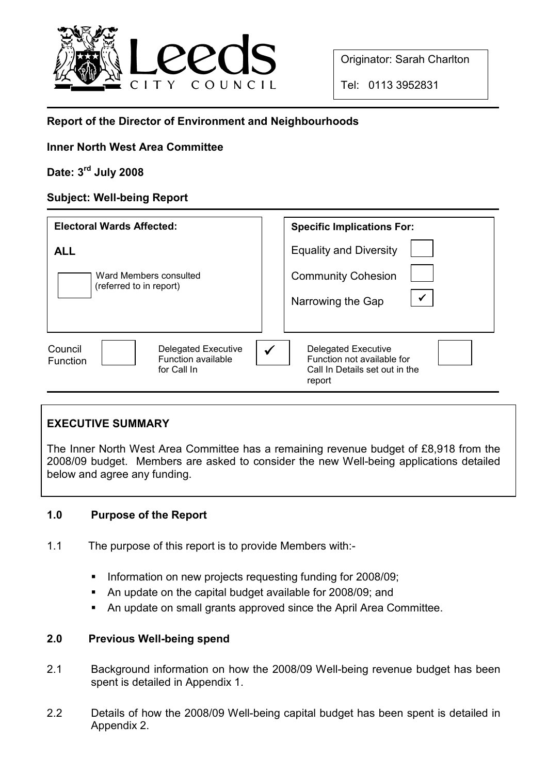

Originator: Sarah Charlton

Tel: 0113 3952831

# Report of the Director of Environment and Neighbourhoods

## Inner North West Area Committee

## Date: 3rd July 2008

# Subject: Well-being Report

| <b>Electoral Wards Affected:</b>                                                              | <b>Specific Implications For:</b>                                                                         |
|-----------------------------------------------------------------------------------------------|-----------------------------------------------------------------------------------------------------------|
| <b>ALL</b><br>Ward Members consulted<br>(referred to in report)                               | <b>Equality and Diversity</b><br><b>Community Cohesion</b><br>$\checkmark$<br>Narrowing the Gap           |
| <b>Delegated Executive</b><br>Council<br>Function available<br><b>Function</b><br>for Call In | <b>Delegated Executive</b><br>✓<br>Function not available for<br>Call In Details set out in the<br>report |

## EXECUTIVE SUMMARY

The Inner North West Area Committee has a remaining revenue budget of £8,918 from the 2008/09 budget. Members are asked to consider the new Well-being applications detailed below and agree any funding.

## 1.0 Purpose of the Report

- 1.1 The purpose of this report is to provide Members with:-
	- § Information on new projects requesting funding for 2008/09;
	- § An update on the capital budget available for 2008/09; and
	- An update on small grants approved since the April Area Committee.

## 2.0 Previous Well-being spend

- 2.1 Background information on how the 2008/09 Well-being revenue budget has been spent is detailed in Appendix 1.
- 2.2 Details of how the 2008/09 Well-being capital budget has been spent is detailed in Appendix 2.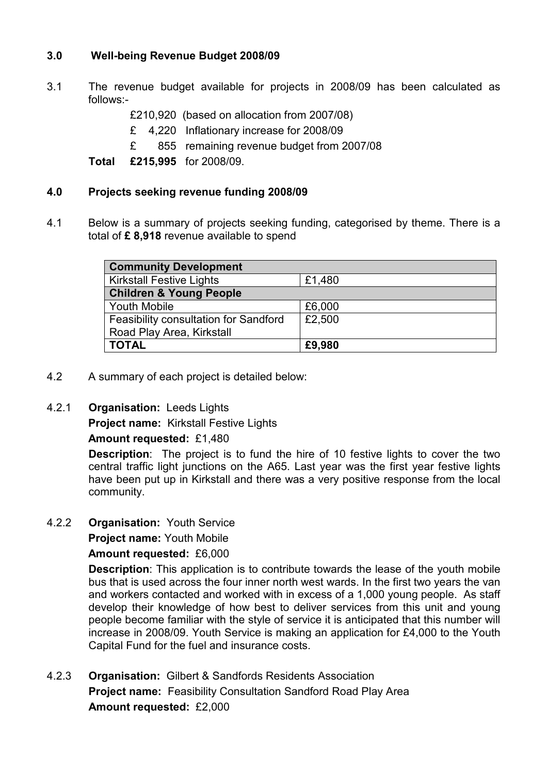## 3.0 Well-being Revenue Budget 2008/09

- 3.1 The revenue budget available for projects in 2008/09 has been calculated as follows:-
	- £210,920 (based on allocation from 2007/08)
	- £ 4,220 Inflationary increase for 2008/09
	- £ 855 remaining revenue budget from 2007/08

Total £215,995 for 2008/09.

#### 4.0 Projects seeking revenue funding 2008/09

4.1 Below is a summary of projects seeking funding, categorised by theme. There is a total of £8,918 revenue available to spend

| <b>Community Development</b>          |        |  |
|---------------------------------------|--------|--|
| <b>Kirkstall Festive Lights</b>       | £1,480 |  |
| <b>Children &amp; Young People</b>    |        |  |
| <b>Youth Mobile</b>                   | £6,000 |  |
| Feasibility consultation for Sandford | £2,500 |  |
| Road Play Area, Kirkstall             |        |  |
| <b>TOTAL</b>                          | £9,980 |  |

4.2 A summary of each project is detailed below:

### 4.2.1 Organisation: Leeds Lights

Project name: Kirkstall Festive Lights

### Amount requested: £1,480

Description: The project is to fund the hire of 10 festive lights to cover the two central traffic light junctions on the A65. Last year was the first year festive lights have been put up in Kirkstall and there was a very positive response from the local community.

### 4.2.2 Organisation: Youth Service

Project name: Youth Mobile

Amount requested: £6,000

Description: This application is to contribute towards the lease of the youth mobile bus that is used across the four inner north west wards. In the first two years the van and workers contacted and worked with in excess of a 1,000 young people. As staff develop their knowledge of how best to deliver services from this unit and young people become familiar with the style of service it is anticipated that this number will increase in 2008/09. Youth Service is making an application for £4,000 to the Youth Capital Fund for the fuel and insurance costs.

4.2.3 Organisation: Gilbert & Sandfords Residents Association **Project name:** Feasibility Consultation Sandford Road Play Area Amount requested: £2,000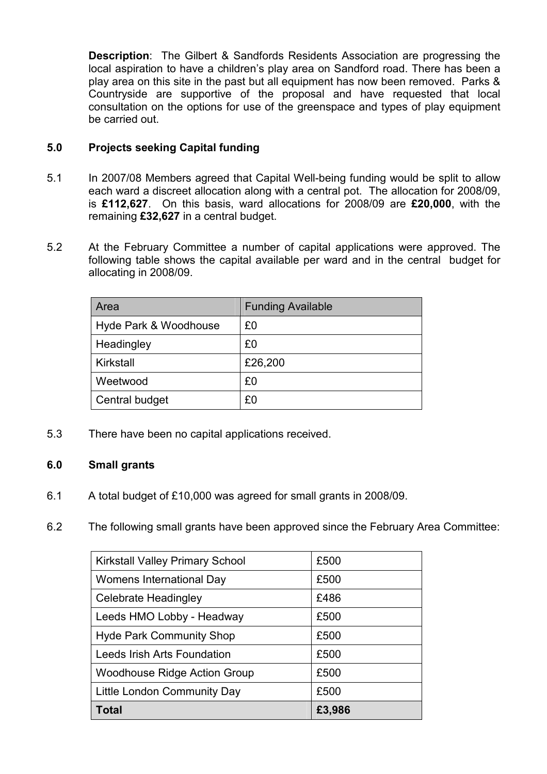Description: The Gilbert & Sandfords Residents Association are progressing the local aspiration to have a children's play area on Sandford road. There has been a play area on this site in the past but all equipment has now been removed. Parks & Countryside are supportive of the proposal and have requested that local consultation on the options for use of the greenspace and types of play equipment be carried out.

## 5.0 Projects seeking Capital funding

- 5.1 In 2007/08 Members agreed that Capital Well-being funding would be split to allow each ward a discreet allocation along with a central pot. The allocation for 2008/09, is £112,627. On this basis, ward allocations for 2008/09 are £20,000, with the remaining £32,627 in a central budget.
- 5.2 At the February Committee a number of capital applications were approved. The following table shows the capital available per ward and in the central budget for allocating in 2008/09.

| Area                  | <b>Funding Available</b> |
|-----------------------|--------------------------|
| Hyde Park & Woodhouse | £0                       |
| Headingley            | £0                       |
| Kirkstall             | £26,200                  |
| Weetwood              | £0                       |
| Central budget        | £0                       |

5.3 There have been no capital applications received.

## 6.0 Small grants

- 6.1 A total budget of £10,000 was agreed for small grants in 2008/09.
- 6.2 The following small grants have been approved since the February Area Committee:

| <b>Kirkstall Valley Primary School</b> | £500   |
|----------------------------------------|--------|
| Womens International Day               | £500   |
| <b>Celebrate Headingley</b>            | £486   |
| Leeds HMO Lobby - Headway              | £500   |
| <b>Hyde Park Community Shop</b>        | £500   |
| Leeds Irish Arts Foundation            | £500   |
| <b>Woodhouse Ridge Action Group</b>    | £500   |
| Little London Community Day            | £500   |
| Total                                  | £3,986 |